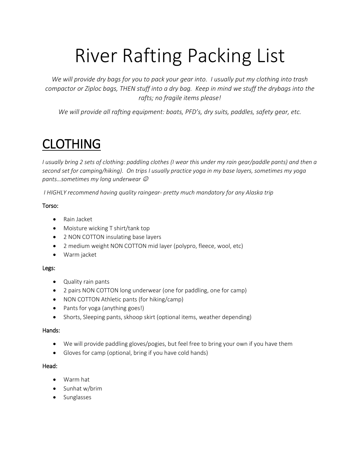# River Rafting Packing List

*We will provide dry bags for you to pack your gear into. I usually put my clothing into trash compactor or Ziploc bags, THEN stuff into a dry bag. Keep in mind we stuff the drybags into the rafts; no fragile items please!* 

*We will provide all rafting equipment: boats, PFD's, dry suits, paddles, safety gear, etc.* 

# CLOTHING

*I usually bring 2 sets of clothing: paddling clothes (I wear this under my rain gear/paddle pants) and then a second set for camping/hiking). On trips I usually practice yoga in my base layers, sometimes my yoga pants…sometimes my long underwear* ☺

*I HIGHLY recommend having quality raingear- pretty much mandatory for any Alaska trip* 

#### Torso:

- Rain Jacket
- Moisture wicking T shirt/tank top
- 2 NON COTTON insulating base layers
- 2 medium weight NON COTTON mid layer (polypro, fleece, wool, etc)
- Warm jacket

#### Legs:

- Quality rain pants
- 2 pairs NON COTTON long underwear (one for paddling, one for camp)
- NON COTTON Athletic pants (for hiking/camp)
- Pants for yoga (anything goes!)
- Shorts, Sleeping pants, skhoop skirt (optional items, weather depending)

#### Hands:

- We will provide paddling gloves/pogies, but feel free to bring your own if you have them
- Gloves for camp (optional, bring if you have cold hands)

#### Head:

- Warm hat
- Sunhat w/brim
- Sunglasses